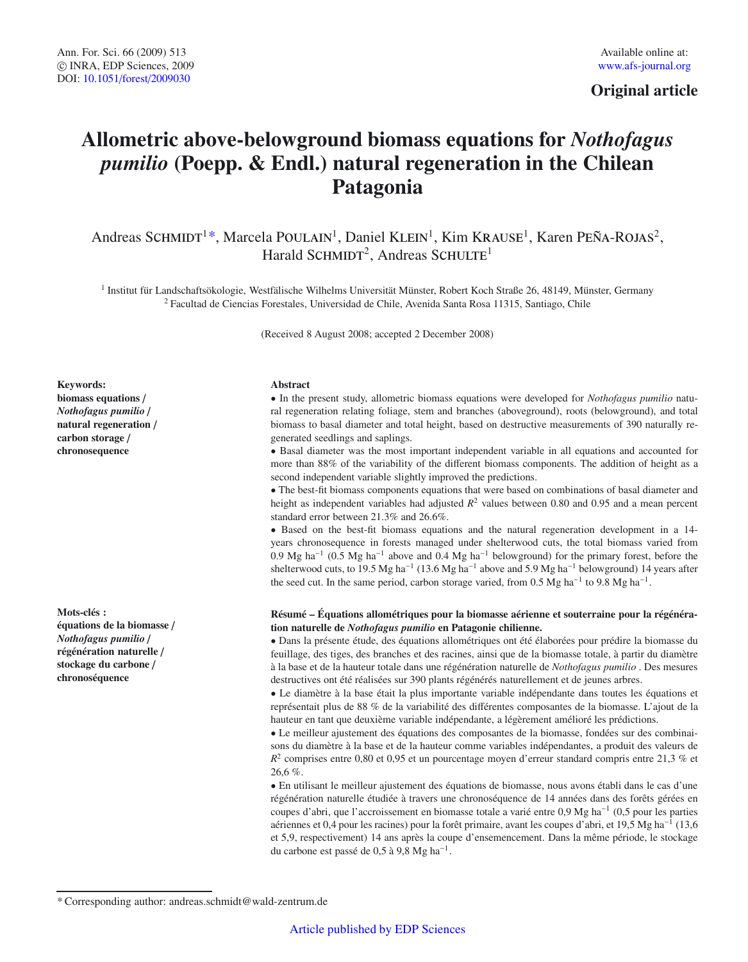# **Original article**

# **Allometric above-belowground biomass equations for** *Nothofagus pumilio* **(Poepp.** & **Endl.) natural regeneration in the Chilean Patagonia**

Andreas SCHMIDT<sup>1\*</sup>, Marcela POULAIN<sup>1</sup>, Daniel KLEIN<sup>1</sup>, Kim KRAUSE<sup>1</sup>, Karen PEÑA-ROJAS<sup>2</sup>, Harald SCHMIDT<sup>2</sup>, Andreas SCHULTE<sup>1</sup>

<sup>1</sup> Institut für Landschaftsökologie, Westfälische Wilhelms Universität Münster, Robert Koch Straße 26, 48149, Münster, Germany <sup>2</sup> Facultad de Ciencias Forestales, Universidad de Chile, Avenida Santa Rosa 11315, Santiago, Chile

(Received 8 August 2008; accepted 2 December 2008)

#### **Keywords:**

**biomass equations** / *Nothofagus pumilio* / **natural regeneration** / **carbon storage** / **chronosequence**

**Mots-clés : équations de la biomasse** / *Nothofagus pumilio* / **régénération naturelle** / **stockage du carbone** / **chronoséquence**

#### **Abstract**

• In the present study, allometric biomass equations were developed for *Nothofagus pumilio* natural regeneration relating foliage, stem and branches (aboveground), roots (belowground), and total biomass to basal diameter and total height, based on destructive measurements of 390 naturally regenerated seedlings and saplings.

• Basal diameter was the most important independent variable in all equations and accounted for more than 88% of the variability of the different biomass components. The addition of height as a second independent variable slightly improved the predictions.

• The best-fit biomass components equations that were based on combinations of basal diameter and height as independent variables had adjusted  $R<sup>2</sup>$  values between 0.80 and 0.95 and a mean percent standard error between 21.3% and 26.6%.

• Based on the best-fit biomass equations and the natural regeneration development in a 14 years chronosequence in forests managed under shelterwood cuts, the total biomass varied from 0.9 Mg ha−<sup>1</sup> (0.5 Mg ha−<sup>1</sup> above and 0.4 Mg ha−<sup>1</sup> belowground) for the primary forest, before the shelterwood cuts, to 19.5 Mg ha<sup>-1</sup> (13.6 Mg ha<sup>-1</sup> above and 5.9 Mg ha<sup>-1</sup> belowground) 14 years after the seed cut. In the same period, carbon storage varied, from 0.5 Mg ha<sup>-1</sup> to 9.8 Mg ha<sup>-1</sup>.

## **Résumé – Équations allométriques pour la biomasse aérienne et souterraine pour la régénération naturelle de** *Nothofagus pumilio* **en Patagonie chilienne.**

• Dans la présente étude, des équations allométriques ont été élaborées pour prédire la biomasse du feuillage, des tiges, des branches et des racines, ainsi que de la biomasse totale, à partir du diamètre à la base et de la hauteur totale dans une régénération naturelle de *Nothofagus pumilio* . Des mesures destructives ont été réalisées sur 390 plants régénérés naturellement et de jeunes arbres.

• Le diamètre à la base était la plus importante variable indépendante dans toutes les équations et représentait plus de 88 % de la variabilité des différentes composantes de la biomasse. L'ajout de la hauteur en tant que deuxième variable indépendante, a légèrement amélioré les prédictions.

• Le meilleur ajustement des équations des composantes de la biomasse, fondées sur des combinaisons du diamètre à la base et de la hauteur comme variables indépendantes, a produit des valeurs de *R*<sup>2</sup> comprises entre 0,80 et 0,95 et un pourcentage moyen d'erreur standard compris entre 21,3 % et 26,6 %.

• En utilisant le meilleur ajustement des équations de biomasse, nous avons établi dans le cas d'une régénération naturelle étudiée à travers une chronoséquence de 14 années dans des forêts gérées en coupes d'abri, que l'accroissement en biomasse totale a varié entre 0,9 Mg ha−<sup>1</sup> (0,5 pour les parties aériennes et 0,4 pour les racines) pour la forêt primaire, avant les coupes d'abri, et 19,5 Mg ha−<sup>1</sup> (13,6 et 5,9, respectivement) 14 ans après la coupe d'ensemencement. Dans la même période, le stockage du carbone est passé de 0,5 à 9,8 Mg ha−1.

<sup>\*</sup> Corresponding author: andreas.schmidt@wald-zentrum.de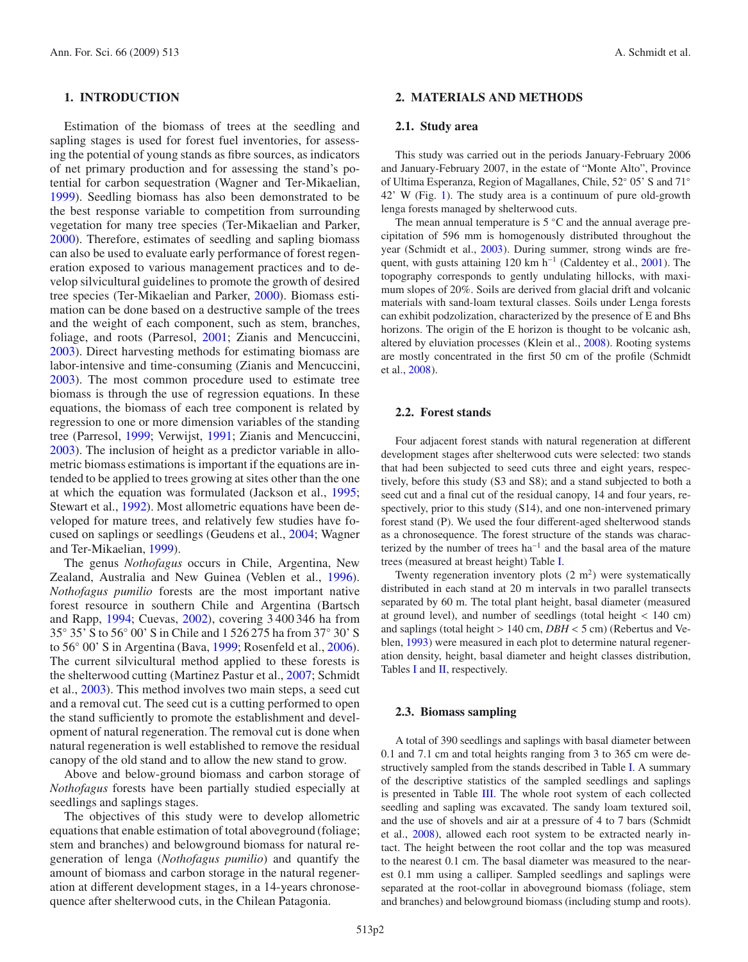# **1. INTRODUCTION**

Estimation of the biomass of trees at the seedling and sapling stages is used for forest fuel inventories, for assessing the potential of young stands as fibre sources, as indicators of net primary production and for assessing the stand's potential for carbon sequestration (Wagner and Ter-Mikaelian, [1999\)](#page-7-0). Seedling biomass has also been demonstrated to be the best response variable to competition from surrounding vegetation for many tree species (Ter-Mikaelian and Parker, [2000\)](#page-7-1). Therefore, estimates of seedling and sapling biomass can also be used to evaluate early performance of forest regeneration exposed to various management practices and to develop silvicultural guidelines to promote the growth of desired tree species (Ter-Mikaelian and Parker, [2000\)](#page-7-1). Biomass estimation can be done based on a destructive sample of the trees and the weight of each component, such as stem, branches, foliage, and roots (Parresol, [2001;](#page-7-2) Zianis and Mencuccini, [2003\)](#page-7-3). Direct harvesting methods for estimating biomass are labor-intensive and time-consuming (Zianis and Mencuccini, [2003\)](#page-7-3). The most common procedure used to estimate tree biomass is through the use of regression equations. In these equations, the biomass of each tree component is related by regression to one or more dimension variables of the standing tree (Parresol, [1999;](#page-7-4) Verwijst, [1991;](#page-7-5) Zianis and Mencuccini, [2003\)](#page-7-3). The inclusion of height as a predictor variable in allometric biomass estimations is important if the equations are intended to be applied to trees growing at sites other than the one at which the equation was formulated (Jackson et al., [1995;](#page-7-6) Stewart et al., [1992\)](#page-7-7). Most allometric equations have been developed for mature trees, and relatively few studies have focused on saplings or seedlings (Geudens et al., [2004](#page-7-8); Wagner and Ter-Mikaelian, [1999](#page-7-0)).

The genus *Nothofagus* occurs in Chile, Argentina, New Zealand, Australia and New Guinea (Veblen et al., [1996\)](#page-7-9). *Nothofagus pumilio* forests are the most important native forest resource in southern Chile and Argentina (Bartsch and Rapp, [1994;](#page-7-10) Cuevas, [2002\)](#page-7-11), covering 3 400 346 ha from 35◦ 35' S to 56◦ 00' S in Chile and 1 526 275 ha from 37◦ 30' S to 56◦ 00' S in Argentina (Bava, [1999](#page-7-12); Rosenfeld et al., [2006\)](#page-7-13). The current silvicultural method applied to these forests is the shelterwood cutting (Martinez Pastur et al., [2007;](#page-7-14) Schmidt et al., [2003\)](#page-7-15). This method involves two main steps, a seed cut and a removal cut. The seed cut is a cutting performed to open the stand sufficiently to promote the establishment and development of natural regeneration. The removal cut is done when natural regeneration is well established to remove the residual canopy of the old stand and to allow the new stand to grow.

Above and below-ground biomass and carbon storage of *Nothofagus* forests have been partially studied especially at seedlings and saplings stages.

The objectives of this study were to develop allometric equations that enable estimation of total aboveground (foliage; stem and branches) and belowground biomass for natural regeneration of lenga (*Nothofagus pumilio*) and quantify the amount of biomass and carbon storage in the natural regeneration at different development stages, in a 14-years chronosequence after shelterwood cuts, in the Chilean Patagonia.

# **2. MATERIALS AND METHODS**

#### **2.1. Study area**

This study was carried out in the periods January-February 2006 and January-February 2007, in the estate of "Monte Alto", Province of Ultima Esperanza, Region of Magallanes, Chile, 52◦ 05' S and 71◦ 42' W (Fig. [1\)](#page-2-0). The study area is a continuum of pure old-growth lenga forests managed by shelterwood cuts.

The mean annual temperature is 5 ◦C and the annual average precipitation of 596 mm is homogenously distributed throughout the year (Schmidt et al., [2003](#page-7-15)). During summer, strong winds are fre-quent, with gusts attaining 120 km h<sup>-1</sup> (Caldentey et al., [2001](#page-7-16)). The topography corresponds to gently undulating hillocks, with maximum slopes of 20%. Soils are derived from glacial drift and volcanic materials with sand-loam textural classes. Soils under Lenga forests can exhibit podzolization, characterized by the presence of E and Bhs horizons. The origin of the E horizon is thought to be volcanic ash, altered by eluviation processes (Klein et al., [2008](#page-7-17)). Rooting systems are mostly concentrated in the first 50 cm of the profile (Schmidt et al., [2008](#page-7-18)).

# **2.2. Forest stands**

Four adjacent forest stands with natural regeneration at different development stages after shelterwood cuts were selected: two stands that had been subjected to seed cuts three and eight years, respectively, before this study (S3 and S8); and a stand subjected to both a seed cut and a final cut of the residual canopy, 14 and four years, respectively, prior to this study (S14), and one non-intervened primary forest stand (P). We used the four different-aged shelterwood stands as a chronosequence. The forest structure of the stands was characterized by the number of trees ha−<sup>1</sup> and the basal area of the mature trees (measured at breast height) Table [I.](#page-2-1)

Twenty regeneration inventory plots  $(2 \text{ m}^2)$  were systematically distributed in each stand at 20 m intervals in two parallel transects separated by 60 m. The total plant height, basal diameter (measured at ground level), and number of seedlings (total height  $< 140$  cm) and saplings (total height > 140 cm, *DBH* < 5 cm) (Rebertus and Veblen, [1993](#page-7-19)) were measured in each plot to determine natural regeneration density, height, basal diameter and height classes distribution, Tables [I](#page-2-1) and [II,](#page-3-0) respectively.

### **2.3. Biomass sampling**

A total of 390 seedlings and saplings with basal diameter between 0.1 and 7.1 cm and total heights ranging from 3 to 365 cm were destructively sampled from the stands described in Table [I.](#page-2-1) A summary of the descriptive statistics of the sampled seedlings and saplings is presented in Table [III.](#page-3-1) The whole root system of each collected seedling and sapling was excavated. The sandy loam textured soil, and the use of shovels and air at a pressure of 4 to 7 bars (Schmidt et al., [2008](#page-7-18)), allowed each root system to be extracted nearly intact. The height between the root collar and the top was measured to the nearest 0.1 cm. The basal diameter was measured to the nearest 0.1 mm using a calliper. Sampled seedlings and saplings were separated at the root-collar in aboveground biomass (foliage, stem and branches) and belowground biomass (including stump and roots).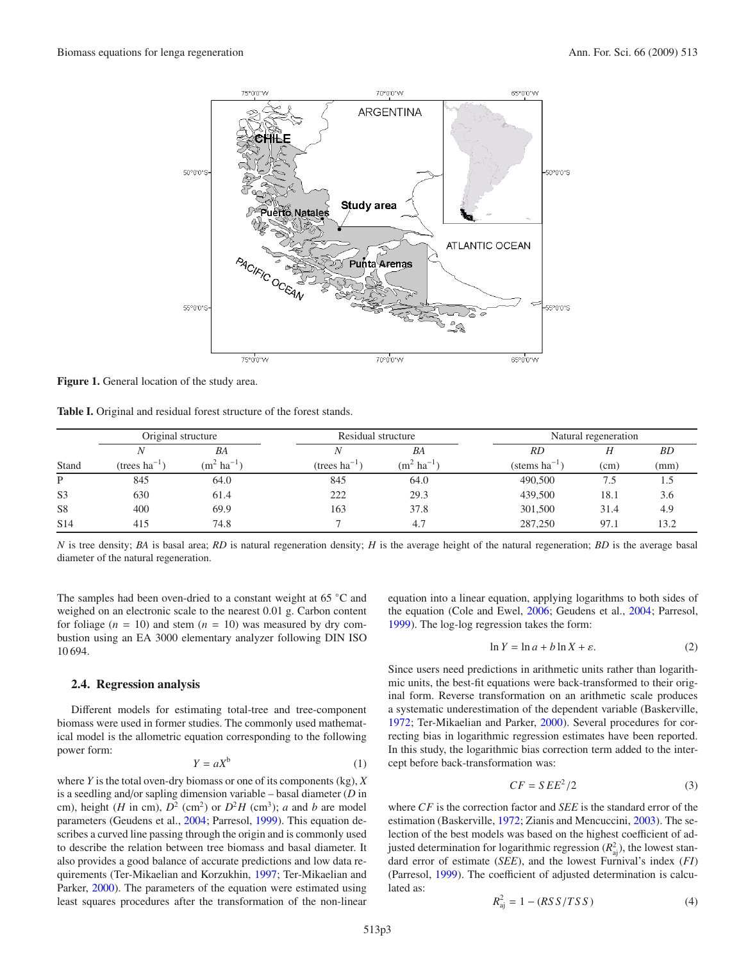

<span id="page-2-1"></span><span id="page-2-0"></span>**Figure 1.** General location of the study area.

**Table I.** Original and residual forest structure of the forest stands.

|                 | Original structure |                         | Residual structure |                         |                  | Natural regeneration |           |
|-----------------|--------------------|-------------------------|--------------------|-------------------------|------------------|----------------------|-----------|
|                 |                    | BA                      | N.                 | BA                      | RD               | Н                    | <b>BD</b> |
| Stand           | (trees $ha^{-1}$ ) | $(m^2 \text{ ha}^{-1})$ | (trees $ha^{-1}$   | $(m^2 \text{ ha}^{-1})$ | (stems $ha^{-1}$ | (cm)                 | (mm)      |
| Þ               | 845                | 64.0                    | 845                | 64.0                    | 490,500          | 7.5                  | 1.5       |
| S <sub>3</sub>  | 630                | 61.4                    | 222                | 29.3                    | 439,500          | 18.1                 | 3.6       |
| S <sub>8</sub>  | 400                | 69.9                    | 163                | 37.8                    | 301,500          | 31.4                 | 4.9       |
| S <sub>14</sub> | 415                | 74.8                    |                    | 4.7                     | 287,250          | 97.1                 | 13.2      |

*N* is tree density; *BA* is basal area; *RD* is natural regeneration density; *H* is the average height of the natural regeneration; *BD* is the average basal diameter of the natural regeneration.

The samples had been oven-dried to a constant weight at 65 ◦C and weighed on an electronic scale to the nearest 0.01 g. Carbon content for foliage  $(n = 10)$  and stem  $(n = 10)$  was measured by dry combustion using an EA 3000 elementary analyzer following DIN ISO 10 694.

# **2.4. Regression analysis**

Different models for estimating total-tree and tree-component biomass were used in former studies. The commonly used mathematical model is the allometric equation corresponding to the following power form:

$$
Y = aX^b \tag{1}
$$

where *Y* is the total oven-dry biomass or one of its components (kg), *X* is a seedling and/or sapling dimension variable – basal diameter (*D* in cm), height (*H* in cm),  $D^2$  (cm<sup>2</sup>) or  $D^2H$  (cm<sup>3</sup>); *a* and *b* are model parameters (Geudens et al., [2004](#page-7-8); Parresol, [1999](#page-7-4)). This equation describes a curved line passing through the origin and is commonly used to describe the relation between tree biomass and basal diameter. It also provides a good balance of accurate predictions and low data requirements (Ter-Mikaelian and Korzukhin, [1997](#page-7-20); Ter-Mikaelian and Parker, [2000](#page-7-1)). The parameters of the equation were estimated using least squares procedures after the transformation of the non-linear equation into a linear equation, applying logarithms to both sides of the equation (Cole and Ewel, [2006](#page-7-21); Geudens et al., [2004](#page-7-8); Parresol, [1999\)](#page-7-4). The log-log regression takes the form:

$$
\ln Y = \ln a + b \ln X + \varepsilon. \tag{2}
$$

<span id="page-2-2"></span>Since users need predictions in arithmetic units rather than logarithmic units, the best-fit equations were back-transformed to their original form. Reverse transformation on an arithmetic scale produces a systematic underestimation of the dependent variable (Baskerville, [1972;](#page-7-22) Ter-Mikaelian and Parker, [2000](#page-7-1)). Several procedures for correcting bias in logarithmic regression estimates have been reported. In this study, the logarithmic bias correction term added to the intercept before back-transformation was:

$$
CF = SEE^2/2 \tag{3}
$$

where *CF* is the correction factor and *SEE* is the standard error of the estimation (Baskerville, [1972](#page-7-22); Zianis and Mencuccini, [2003](#page-7-3)). The selection of the best models was based on the highest coefficient of adjusted determination for logarithmic regression  $(R<sub>aj</sub><sup>2</sup>)$ , the lowest standard error of estimate (*SEE*), and the lowest Furnival's index (*FI*) (Parresol, [1999](#page-7-4)). The coefficient of adjusted determination is calculated as:

$$
R_{\rm aj}^2 = 1 - (RSS/TSS)
$$
 (4)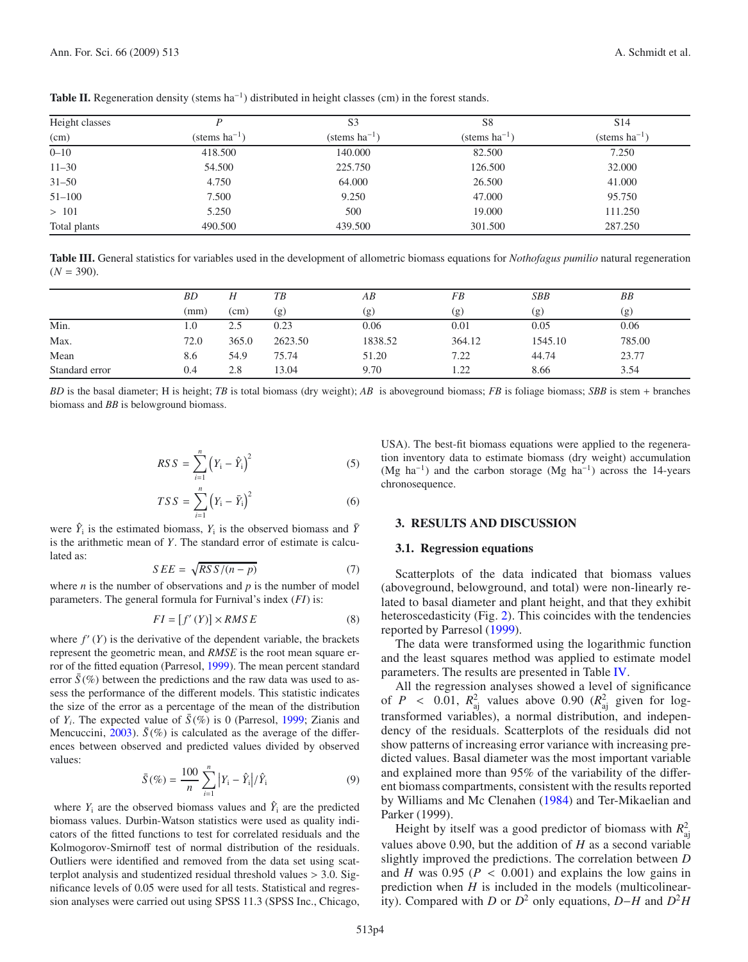| Height classes |                    | S <sub>3</sub>     | S8                 | S <sub>14</sub>    |
|----------------|--------------------|--------------------|--------------------|--------------------|
| (cm)           | (stems $ha^{-1}$ ) | (stems $ha^{-1}$ ) | (stems $ha^{-1}$ ) | (stems $ha^{-1}$ ) |
| $0 - 10$       | 418.500            | 140.000            | 82.500             | 7.250              |
| $11 - 30$      | 54.500             | 225.750            | 126.500            | 32.000             |
| $31 - 50$      | 4.750              | 64.000             | 26.500             | 41.000             |
| $51 - 100$     | 7.500              | 9.250              | 47.000             | 95.750             |
| >101           | 5.250              | 500                | 19.000             | 111.250            |
| Total plants   | 490.500            | 439.500            | 301.500            | 287.250            |

<span id="page-3-1"></span><span id="page-3-0"></span>**Table II.** Regeneration density (stems  $ha^{-1}$ ) distributed in height classes (cm) in the forest stands.

**Table III.** General statistics for variables used in the development of allometric biomass equations for *Nothofagus pumilio* natural regeneration  $(N = 390)$ .

|                | ΒD   | Н     | ТB      | AB      | FB     | SBB     | BB     |
|----------------|------|-------|---------|---------|--------|---------|--------|
|                | (mm) | (cm)  | (g)     | (g)     | (g)    | (g)     | (g)    |
| Min.           | 1.0  | 2.5   | 0.23    | 0.06    | 0.01   | 0.05    | 0.06   |
| Max.           | 72.0 | 365.0 | 2623.50 | 1838.52 | 364.12 | 1545.10 | 785.00 |
| Mean           | 8.6  | 54.9  | 75.74   | 51.20   | 7.22   | 44.74   | 23.77  |
| Standard error | 0.4  | 2.8   | 13.04   | 9.70    | 1.22   | 8.66    | 3.54   |

*BD* is the basal diameter; H is height; *TB* is total biomass (dry weight); *AB* is aboveground biomass; *FB* is foliage biomass; *SBB* is stem + branches biomass and *BB* is belowground biomass.

$$
RSS = \sum_{i=1}^{n} (Y_i - \hat{Y}_i)^2
$$
 (5)

$$
TSS = \sum_{i=1}^{n} (Y_i - \bar{Y}_i)^2
$$
 (6)

were  $\hat{Y}_i$  is the estimated biomass,  $Y_i$  is the observed biomass and  $\bar{Y}_i$ is the arithmetic mean of *Y*. The standard error of estimate is calculated as:

$$
SEE = \sqrt{RSS/(n-p)}\tag{7}
$$

<span id="page-3-2"></span>where  $n$  is the number of observations and  $p$  is the number of model parameters. The general formula for Furnival's index (*FI*) is:

$$
FI = [f'(Y)] \times RMSE
$$
 (8)

where  $f'(Y)$  is the derivative of the dependent variable, the brackets represent the geometric mean, and *RMSE* is the root mean square error of the fitted equation (Parresol, [1999\)](#page-7-4). The mean percent standard error  $\bar{S}$ <sup>(%)</sup> between the predictions and the raw data was used to assess the performance of the different models. This statistic indicates the size of the error as a percentage of the mean of the distribution of  $Y_i$ . The expected value of  $\bar{S}(\%)$  is 0 (Parresol, [1999](#page-7-4); Zianis and Mencuccini, [2003](#page-7-3)).  $\bar{S}$ (%) is calculated as the average of the differences between observed and predicted values divided by observed values:

$$
\bar{S}(\%) = \frac{100}{n} \sum_{i=1}^{n} |Y_i - \hat{Y}_i| / \hat{Y}_i
$$
 (9)

where  $Y_i$  are the observed biomass values and  $\hat{Y}_i$  are the predicted biomass values. Durbin-Watson statistics were used as quality indicators of the fitted functions to test for correlated residuals and the Kolmogorov-Smirnoff test of normal distribution of the residuals. Outliers were identified and removed from the data set using scatterplot analysis and studentized residual threshold values > 3.0. Significance levels of 0.05 were used for all tests. Statistical and regression analyses were carried out using SPSS 11.3 (SPSS Inc., Chicago,

USA). The best-fit biomass equations were applied to the regeneration inventory data to estimate biomass (dry weight) accumulation (Mg ha<sup>-1</sup>) and the carbon storage (Mg ha<sup>-1</sup>) across the 14-years chronosequence.

# **3. RESULTS AND DISCUSSION**

# **3.1. Regression equations**

Scatterplots of the data indicated that biomass values (aboveground, belowground, and total) were non-linearly related to basal diameter and plant height, and that they exhibit heteroscedasticity (Fig. [2\)](#page-5-0). This coincides with the tendencies reported by Parresol [\(1999\)](#page-7-4).

The data were transformed using the logarithmic function and the least squares method was applied to estimate model parameters. The results are presented in Table [IV.](#page-4-0)

All the regression analyses showed a level of significance of  $P \sim 0.01$ ,  $R_{\text{aj}}^2$  values above 0.90  $(R_{\text{aj}}^2)$  given for logtransformed variables), a normal distribution, and independency of the residuals. Scatterplots of the residuals did not show patterns of increasing error variance with increasing predicted values. Basal diameter was the most important variable and explained more than 95% of the variability of the different biomass compartments, consistent with the results reported by Williams and Mc Clenahen [\(1984\)](#page-7-23) and Ter-Mikaelian and Parker (1999).

Height by itself was a good predictor of biomass with  $R_{\text{aj}}^2$ values above 0.90, but the addition of *H* as a second variable slightly improved the predictions. The correlation between *D* and *H* was 0.95 ( $P < 0.001$ ) and explains the low gains in prediction when *H* is included in the models (multicolinearity). Compared with *D* or *D*<sup>2</sup> only equations, *D*−*H* and *D*<sup>2</sup>*H*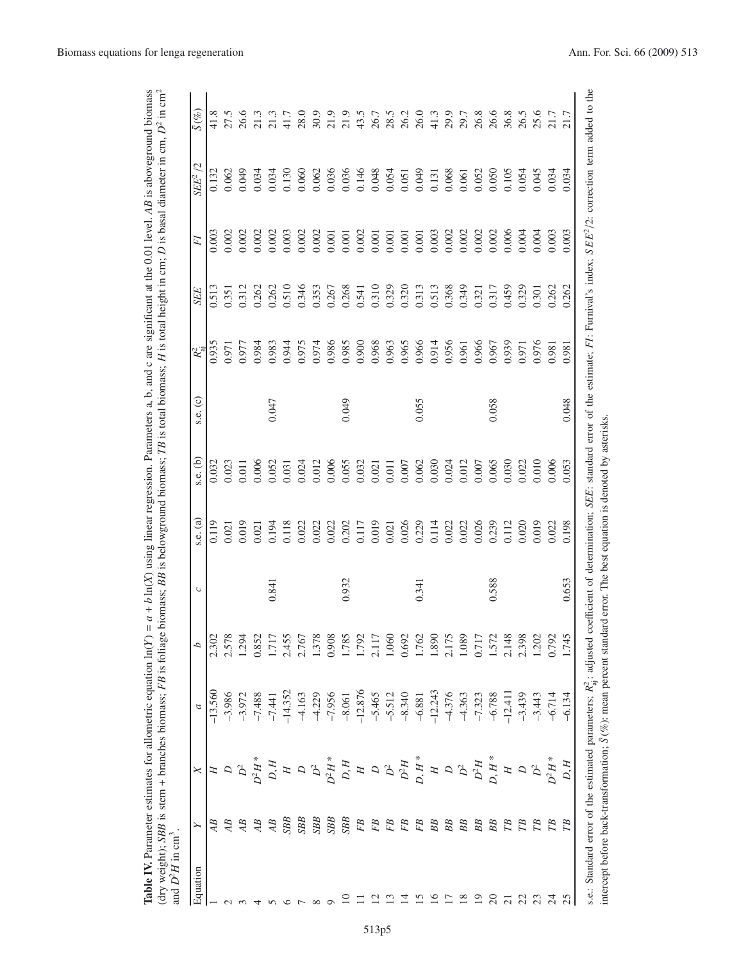| $v = (X)$<br>arameter estimates for allometric equation I<br>í<br>Í<br>$\frac{1}{2}$<br>o nasorano.<br><b>Amon OF</b><br>$\sim$ of any $-1$<br>ינט<br>נ<br>רייה הייז |
|----------------------------------------------------------------------------------------------------------------------------------------------------------------------|
| ranc o<br>ĺ<br>$\overline{a}$                                                                                                                                        |
|                                                                                                                                                                      |
|                                                                                                                                                                      |
|                                                                                                                                                                      |
|                                                                                                                                                                      |
|                                                                                                                                                                      |
| ∍                                                                                                                                                                    |

<span id="page-4-0"></span>

| Equation |                 |                                                                                                                                                                                                                                                                                                                                                                                                                                                                                               |                                                                                                                                                                                                                                                                                                   | d                | $\mathrel{\circ}$ | s.e. (a)                                                                                                                                                                                                                                                                                            | $s.e.$ (b) | s.e. (c) | $R_{\rm ai}^2$ | SEE            | FI                 | $\overline{C}$<br>$SEE^2$ | $\bar{S}(\%)$                                                                                                                                                                                                 |
|----------|-----------------|-----------------------------------------------------------------------------------------------------------------------------------------------------------------------------------------------------------------------------------------------------------------------------------------------------------------------------------------------------------------------------------------------------------------------------------------------------------------------------------------------|---------------------------------------------------------------------------------------------------------------------------------------------------------------------------------------------------------------------------------------------------------------------------------------------------|------------------|-------------------|-----------------------------------------------------------------------------------------------------------------------------------------------------------------------------------------------------------------------------------------------------------------------------------------------------|------------|----------|----------------|----------------|--------------------|---------------------------|---------------------------------------------------------------------------------------------------------------------------------------------------------------------------------------------------------------|
|          | AB              |                                                                                                                                                                                                                                                                                                                                                                                                                                                                                               | $-13.560$                                                                                                                                                                                                                                                                                         | 2.302            |                   | 0.119                                                                                                                                                                                                                                                                                               | 0.032      |          | 0.935          | 0.513          | 0.003              | 0.132                     |                                                                                                                                                                                                               |
|          | AB              |                                                                                                                                                                                                                                                                                                                                                                                                                                                                                               | $-3.986$                                                                                                                                                                                                                                                                                          |                  |                   | 0.021                                                                                                                                                                                                                                                                                               | 0.023      |          | 0.971          | 1.351          | 0.002              | 0.062                     |                                                                                                                                                                                                               |
|          | AB              |                                                                                                                                                                                                                                                                                                                                                                                                                                                                                               |                                                                                                                                                                                                                                                                                                   | 1.294            |                   | 0.019                                                                                                                                                                                                                                                                                               | 0.011      |          | 0.977          | 0.312          | 0.002              | 0.049                     |                                                                                                                                                                                                               |
|          | AB              |                                                                                                                                                                                                                                                                                                                                                                                                                                                                                               | $-3.972$<br>$-7.488$                                                                                                                                                                                                                                                                              |                  |                   | 0.021                                                                                                                                                                                                                                                                                               | 0.006      |          | 0.984          | 0.262          | 0.002              | 0.034                     |                                                                                                                                                                                                               |
|          | $\overline{AB}$ | $D^2 H^*$<br>$D, H$                                                                                                                                                                                                                                                                                                                                                                                                                                                                           | $-7.441$                                                                                                                                                                                                                                                                                          | $0.852$<br>1.717 | 0.841             |                                                                                                                                                                                                                                                                                                     | 0.052      | 0.047    | 0.983          | 0.262          | 0.002              | 0.034                     |                                                                                                                                                                                                               |
|          | SBB             |                                                                                                                                                                                                                                                                                                                                                                                                                                                                                               |                                                                                                                                                                                                                                                                                                   | 2.455            |                   |                                                                                                                                                                                                                                                                                                     | 0.031      |          | 0.944          | 0.510          | 0.003              | 0.130                     |                                                                                                                                                                                                               |
|          | SBB             |                                                                                                                                                                                                                                                                                                                                                                                                                                                                                               | $-14.352$<br>$-4.163$<br>$-4.229$<br>$-7.956$<br>$-8.061$<br>$-8.061$                                                                                                                                                                                                                             | 2.767            |                   | 0.194<br>0.118<br>0.022<br>0.022<br>0.022                                                                                                                                                                                                                                                           | 0.024      |          | 0.975          | 0.346          | 0.002              | 0.060                     |                                                                                                                                                                                                               |
|          | SBB             |                                                                                                                                                                                                                                                                                                                                                                                                                                                                                               |                                                                                                                                                                                                                                                                                                   | 1.378            |                   |                                                                                                                                                                                                                                                                                                     | 0.012      |          | 0.974          | 0.353          | 0.002              | 0.062                     |                                                                                                                                                                                                               |
|          | SBB             |                                                                                                                                                                                                                                                                                                                                                                                                                                                                                               |                                                                                                                                                                                                                                                                                                   | 0.908            |                   |                                                                                                                                                                                                                                                                                                     | 0.006      |          | 0.986          | 0.267          | 0.001              | 0.036                     |                                                                                                                                                                                                               |
|          | SBB             |                                                                                                                                                                                                                                                                                                                                                                                                                                                                                               |                                                                                                                                                                                                                                                                                                   | 1.785            | 0.932             |                                                                                                                                                                                                                                                                                                     | 0.055      | 0.049    | 0.985          | 0.268          | 0.001              | 0.036                     |                                                                                                                                                                                                               |
|          | F <sub>B</sub>  |                                                                                                                                                                                                                                                                                                                                                                                                                                                                                               |                                                                                                                                                                                                                                                                                                   | 1.792            |                   | 0.117                                                                                                                                                                                                                                                                                               | 0.032      |          | 0.900          | 0.541          | 0.002              | 0.146                     |                                                                                                                                                                                                               |
|          | F <sub>B</sub>  |                                                                                                                                                                                                                                                                                                                                                                                                                                                                                               |                                                                                                                                                                                                                                                                                                   | 117              |                   | 0.019                                                                                                                                                                                                                                                                                               | 0.021      |          | 0.968          | 0.310          | 0.001              | 0.048                     |                                                                                                                                                                                                               |
|          | FB              |                                                                                                                                                                                                                                                                                                                                                                                                                                                                                               |                                                                                                                                                                                                                                                                                                   | 1.060            |                   |                                                                                                                                                                                                                                                                                                     | 0.011      |          | 0.963          | 0.329          | 0.001              | 0.054                     |                                                                                                                                                                                                               |
|          | FB              |                                                                                                                                                                                                                                                                                                                                                                                                                                                                                               |                                                                                                                                                                                                                                                                                                   | 0.692            |                   |                                                                                                                                                                                                                                                                                                     | 0.007      |          | 0.965          | 0.320          | 0.001              | 0.051                     |                                                                                                                                                                                                               |
|          | FB              | $\begin{array}{c} \mathcal{D} \\ \mathcal{D} \\ \mathcal{D} \\ \mathcal{D} \\ \mathcal{D} \\ \mathcal{D} \\ \mathcal{D} \\ \mathcal{D} \\ \mathcal{D} \\ \mathcal{D} \\ \mathcal{D} \\ \mathcal{D} \\ \mathcal{D} \\ \mathcal{D} \\ \mathcal{D} \\ \mathcal{D} \\ \mathcal{D} \\ \mathcal{D} \\ \mathcal{D} \\ \mathcal{D} \\ \mathcal{D} \\ \mathcal{D} \\ \mathcal{D} \\ \mathcal{D} \\ \mathcal{D} \\ \mathcal{D} \\ \mathcal{D} \\ \mathcal{D} \\ \mathcal{D} \\ \mathcal{D} \\ \mathcal$ | 465<br>5.512<br>5.83 5.83<br>6.83 5.93<br>6.93 6.93<br>7.93<br>7.93<br>7.93<br>7.93<br>7.93<br>7.93<br>7.93<br>7.93<br>7.93<br>7.93<br>7.94<br>7.94<br>7.94<br>7.94<br>7.94<br>7.94<br>7.94<br>7.94<br>7.94<br>7.94<br>7.94<br>7.94<br>7.94<br>7.94<br>7.94<br>7.94<br>7.94<br>7.94<br>7.94<br>7. | 1.762            | 0.341             | $\begin{array}{l} 0.021 \\ 0.026 \\ 0.14 \\ 0.014 \\ 0.022 \\ 0.023 \\ 0.024 \\ 0.030 \\ 0.011 \\ 0.000 \\ 0.011 \\ 0.000 \\ 0.000 \\ 0.000 \\ 0.000 \\ 0.000 \\ 0.000 \\ 0.000 \\ 0.000 \\ 0.000 \\ 0.000 \\ 0.000 \\ 0.000 \\ 0.000 \\ 0.000 \\ 0.000 \\ 0.000 \\ 0.000 \\ 0.000 \\ 0.000 \\ 0.0$ | 0.062      | 0.055    | 0.966          | 0.313          | 0.001              | 0.049                     | es sint de sint de sint de sint de sint de la sint de la sint de la sint de la sint de la sint de la<br>Sint de de de la sint de la sint de la sint de la sint de la sint de la sint de la sint de la sint de |
|          | BB              |                                                                                                                                                                                                                                                                                                                                                                                                                                                                                               |                                                                                                                                                                                                                                                                                                   | 1.890            |                   |                                                                                                                                                                                                                                                                                                     | 0.030      |          | 0.914          | 0.513<br>0.368 | 0.003              | 0.131                     |                                                                                                                                                                                                               |
|          | <b>BB</b>       |                                                                                                                                                                                                                                                                                                                                                                                                                                                                                               |                                                                                                                                                                                                                                                                                                   | 175              |                   |                                                                                                                                                                                                                                                                                                     | 0.024      |          | 0.956          |                | 0.002              | 0.068                     |                                                                                                                                                                                                               |
|          | <b>BB</b>       | ${\cal D}^2$                                                                                                                                                                                                                                                                                                                                                                                                                                                                                  |                                                                                                                                                                                                                                                                                                   | 1.089            |                   |                                                                                                                                                                                                                                                                                                     | 0.012      |          | 0.961          | 0.349          | 0.002              | 0.061                     |                                                                                                                                                                                                               |
|          | <b>BB</b>       | $D^2H$ , $H^*$                                                                                                                                                                                                                                                                                                                                                                                                                                                                                |                                                                                                                                                                                                                                                                                                   | 0.717            |                   |                                                                                                                                                                                                                                                                                                     | $0.007$    |          | 0.966          | 0.321          | 0.002              | 0.052                     |                                                                                                                                                                                                               |
|          | BB              |                                                                                                                                                                                                                                                                                                                                                                                                                                                                                               |                                                                                                                                                                                                                                                                                                   | 1.572            | 0.588             |                                                                                                                                                                                                                                                                                                     | 0.065      | 0.058    | 0.967          | 0.317<br>0.459 | $0.002$<br>$0.006$ | 0.050                     |                                                                                                                                                                                                               |
|          | <b>TB</b>       |                                                                                                                                                                                                                                                                                                                                                                                                                                                                                               |                                                                                                                                                                                                                                                                                                   | 2.148            |                   |                                                                                                                                                                                                                                                                                                     | 0.030      |          | 0.939          |                |                    | 0.105                     |                                                                                                                                                                                                               |
|          | $\mathbb{E}$    | $\begin{array}{c}\n\Box\n\end{array}$                                                                                                                                                                                                                                                                                                                                                                                                                                                         |                                                                                                                                                                                                                                                                                                   | 2.398            |                   |                                                                                                                                                                                                                                                                                                     | 0.022      |          | 0.971          | 0.329          | 0.004              | 0.054                     |                                                                                                                                                                                                               |
|          | <b>TB</b>       | $D^2$<br>$H^*$                                                                                                                                                                                                                                                                                                                                                                                                                                                                                |                                                                                                                                                                                                                                                                                                   | 1.202            |                   | 0.019                                                                                                                                                                                                                                                                                               | 0.010      |          | 0.976          | 0.301          | 0.004              | 0.045                     |                                                                                                                                                                                                               |
|          | E <sub>B</sub>  |                                                                                                                                                                                                                                                                                                                                                                                                                                                                                               | $-6.714$<br>$-6.134$                                                                                                                                                                                                                                                                              | 0.792            |                   | 0.22                                                                                                                                                                                                                                                                                                | 0.006      |          | 0.981          | 0.262          | 0.003              | 0.034                     |                                                                                                                                                                                                               |
|          | <b>TB</b>       | D, H                                                                                                                                                                                                                                                                                                                                                                                                                                                                                          |                                                                                                                                                                                                                                                                                                   | 745              | 0.653             | 0.198                                                                                                                                                                                                                                                                                               | 0.053      | 0.048    | 0.981          | 0.262          | 0.003              | 0.034                     |                                                                                                                                                                                                               |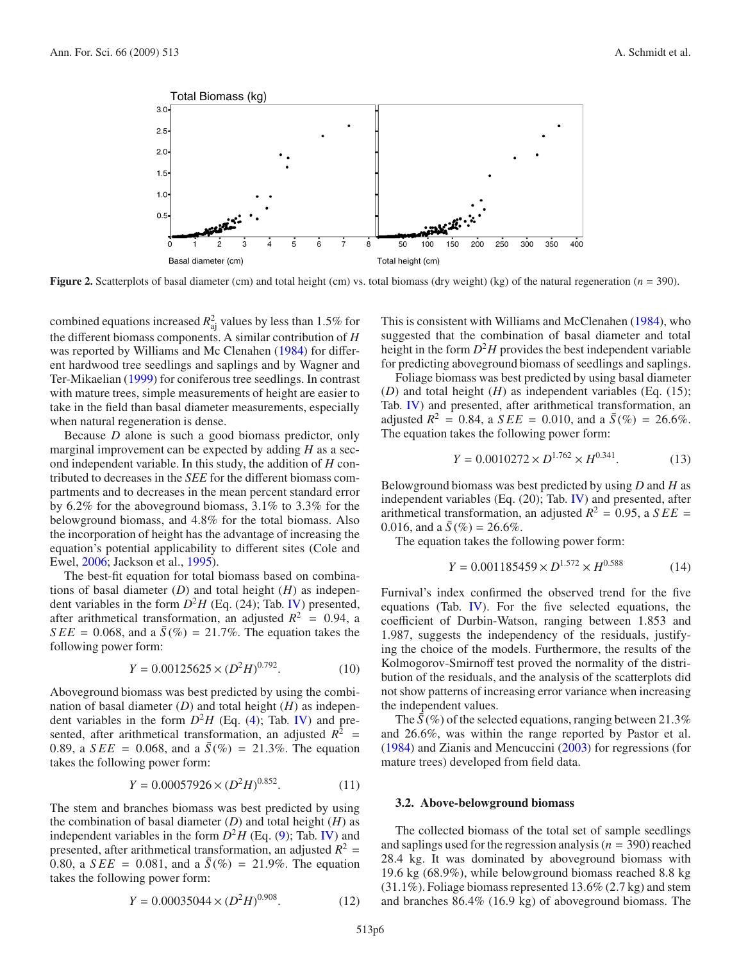<span id="page-5-0"></span>

**Figure 2.** Scatterplots of basal diameter (cm) and total height (cm) vs. total biomass (dry weight) (kg) of the natural regeneration (*n* = 390).

combined equations increased  $R_{\rm aj}^2$  values by less than 1.5% for the different biomass components. A similar contribution of *H* was reported by Williams and Mc Clenahen [\(1984\)](#page-7-23) for different hardwood tree seedlings and saplings and by Wagner and Ter-Mikaelian [\(1999\)](#page-7-0) for coniferous tree seedlings. In contrast with mature trees, simple measurements of height are easier to take in the field than basal diameter measurements, especially when natural regeneration is dense.

Because *D* alone is such a good biomass predictor, only marginal improvement can be expected by adding *H* as a second independent variable. In this study, the addition of *H* contributed to decreases in the *SEE* for the different biomass compartments and to decreases in the mean percent standard error by 6.2% for the aboveground biomass, 3.1% to 3.3% for the belowground biomass, and 4.8% for the total biomass. Also the incorporation of height has the advantage of increasing the equation's potential applicability to different sites (Cole and Ewel, [2006](#page-7-21); Jackson et al., [1995\)](#page-7-6).

The best-fit equation for total biomass based on combinations of basal diameter (*D*) and total height (*H*) as independent variables in the form  $D^2H$  (Eq. (24); Tab. [IV\)](#page-4-0) presented, after arithmetical transformation, an adjusted  $R^2 = 0.94$ , a *SEE* = 0.068, and a  $\bar{S}$ (%) = 21.7%. The equation takes the following power form:

$$
Y = 0.00125625 \times (D^2 H)^{0.792}.
$$
 (10)

Aboveground biomass was best predicted by using the combination of basal diameter (*D*) and total height (*H*) as independent variables in the form  $D^2H$  (Eq. [\(4\)](#page-2-2); Tab. [IV\)](#page-4-0) and presented, after arithmetical transformation, an adjusted  $R^2$  = 0.89, a *SEE* = 0.068, and a  $\bar{S}$ (%) = 21.3%. The equation takes the following power form:

$$
Y = 0.00057926 \times (D^2 H)^{0.852}.
$$
 (11)

The stem and branches biomass was best predicted by using the combination of basal diameter (*D*) and total height (*H*) as independent variables in the form  $D^2H$  (Eq. [\(9\)](#page-3-2); Tab. [IV\)](#page-4-0) and presented, after arithmetical transformation, an adjusted  $R^2$  = 0.80, a *SEE* = 0.081, and a  $\bar{S}(\%)$  = 21.9%. The equation takes the following power form:

$$
Y = 0.00035044 \times (D^2 H)^{0.908}.
$$
 (12)

This is consistent with Williams and McClenahen [\(1984\)](#page-7-23), who suggested that the combination of basal diameter and total height in the form  $D^2H$  provides the best independent variable for predicting aboveground biomass of seedlings and saplings.

Foliage biomass was best predicted by using basal diameter (*D*) and total height (*H*) as independent variables (Eq. (15); Tab. [IV\)](#page-4-0) and presented, after arithmetical transformation, an adjusted  $R^2 = 0.84$ , a *SEE* = 0.010, and a  $\bar{S}(\%) = 26.6\%$ . The equation takes the following power form:

$$
Y = 0.0010272 \times D^{1.762} \times H^{0.341}.
$$
 (13)

Belowground biomass was best predicted by using *D* and *H* as independent variables (Eq. (20); Tab. [IV\)](#page-4-0) and presented, after arithmetical transformation, an adjusted  $R^2 = 0.95$ , a  $SEE =$ 0.016, and a  $\bar{S}(\%) = 26.6\%$ .

The equation takes the following power form:

$$
Y = 0.001185459 \times D^{1.572} \times H^{0.588}
$$
 (14)

Furnival's index confirmed the observed trend for the five equations (Tab. [IV\)](#page-4-0). For the five selected equations, the coefficient of Durbin-Watson, ranging between 1.853 and 1.987, suggests the independency of the residuals, justifying the choice of the models. Furthermore, the results of the Kolmogorov-Smirnoff test proved the normality of the distribution of the residuals, and the analysis of the scatterplots did not show patterns of increasing error variance when increasing the independent values.

The  $\bar{S}$ (%) of the selected equations, ranging between 21.3% and 26.6%, was within the range reported by Pastor et al. [\(1984\)](#page-7-24) and Zianis and Mencuccini [\(2003\)](#page-7-3) for regressions (for mature trees) developed from field data.

#### **3.2. Above-belowground biomass**

The collected biomass of the total set of sample seedlings and saplings used for the regression analysis (*n* = 390) reached 28.4 kg. It was dominated by aboveground biomass with 19.6 kg (68.9%), while belowground biomass reached 8.8 kg (31.1%). Foliage biomass represented 13.6% (2.7 kg) and stem and branches 86.4% (16.9 kg) of aboveground biomass. The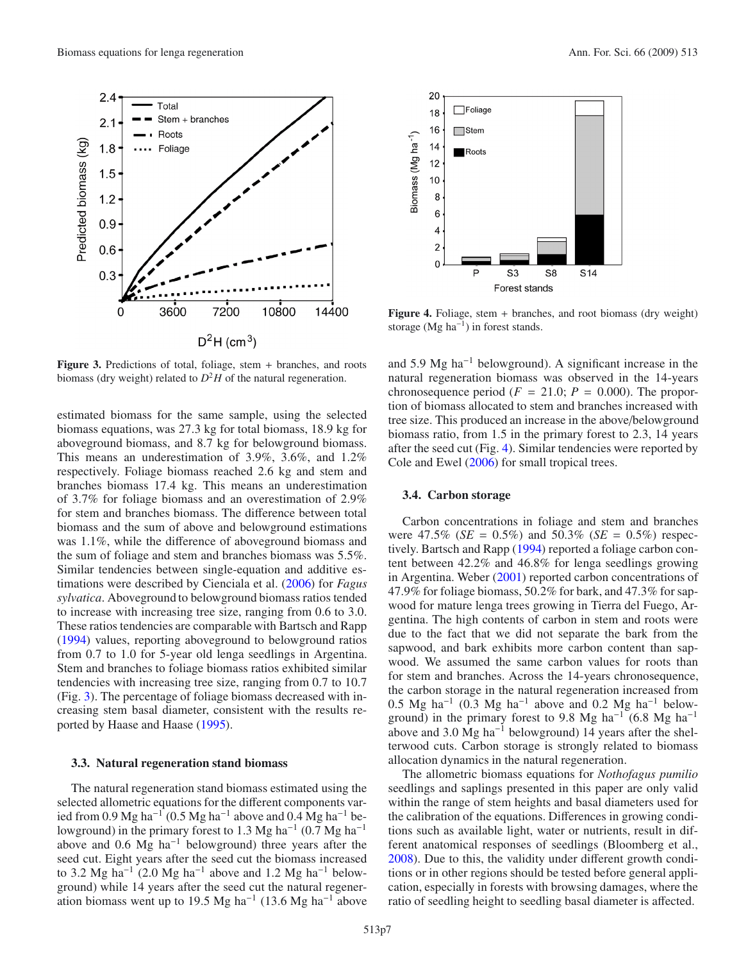Total

Roots

Foliage

3600

Stem + branches

 $2.4$ 

 $2.1$ 

 $1.8$ 

 $1.5$ 

 $1.2$ 

 $0.9$ 

 $0.6$ 

 $0.3$ 

 $\mathbf 0$ 

<span id="page-6-0"></span>Predicted biomass (kg)

Figure 3. Predictions of total, foliage, stem + branches, and roots biomass (dry weight) related to  $D^2H$  of the natural regeneration.

7200

 $D^2H$  (cm<sup>3</sup>)

10800

14400

estimated biomass for the same sample, using the selected biomass equations, was 27.3 kg for total biomass, 18.9 kg for aboveground biomass, and 8.7 kg for belowground biomass. This means an underestimation of 3.9%, 3.6%, and 1.2% respectively. Foliage biomass reached 2.6 kg and stem and branches biomass 17.4 kg. This means an underestimation of 3.7% for foliage biomass and an overestimation of 2.9% for stem and branches biomass. The difference between total biomass and the sum of above and belowground estimations was 1.1%, while the difference of aboveground biomass and the sum of foliage and stem and branches biomass was 5.5%. Similar tendencies between single-equation and additive estimations were described by Cienciala et al. [\(2006\)](#page-7-25) for *Fagus sylvatica*. Aboveground to belowground biomass ratios tended to increase with increasing tree size, ranging from 0.6 to 3.0. These ratios tendencies are comparable with Bartsch and Rapp [\(1994\)](#page-7-10) values, reporting aboveground to belowground ratios from 0.7 to 1.0 for 5-year old lenga seedlings in Argentina. Stem and branches to foliage biomass ratios exhibited similar tendencies with increasing tree size, ranging from 0.7 to 10.7 (Fig. [3\)](#page-6-0). The percentage of foliage biomass decreased with increasing stem basal diameter, consistent with the results reported by Haase and Haase [\(1995\)](#page-7-26).

# **3.3. Natural regeneration stand biomass**

The natural regeneration stand biomass estimated using the selected allometric equations for the different components varied from 0.9 Mg ha<sup>-1</sup> (0.5 Mg ha<sup>-1</sup> above and 0.4 Mg ha<sup>-1</sup> belowground) in the primary forest to 1.3 Mg ha<sup>-1</sup> (0.7 Mg ha<sup>-1</sup>) above and 0.6 Mg ha−<sup>1</sup> belowground) three years after the seed cut. Eight years after the seed cut the biomass increased to 3.2 Mg ha<sup>-1</sup> (2.0 Mg ha<sup>-1</sup> above and 1.2 Mg ha<sup>-1</sup> belowground) while 14 years after the seed cut the natural regeneration biomass went up to 19.5 Mg ha<sup>-1</sup> (13.6 Mg ha<sup>-1</sup> above

**Figure 4.** Foliage, stem + branches, and root biomass (dry weight) storage (Mg ha<sup>-1</sup>) in forest stands.

and 5.9 Mg ha−<sup>1</sup> belowground). A significant increase in the

natural regeneration biomass was observed in the 14-years chronosequence period  $(F = 21.0; P = 0.000)$ . The proportion of biomass allocated to stem and branches increased with tree size. This produced an increase in the above/belowground biomass ratio, from 1.5 in the primary forest to 2.3, 14 years after the seed cut (Fig. [4\)](#page-6-1). Similar tendencies were reported by Cole and Ewel [\(2006\)](#page-7-21) for small tropical trees.

# **3.4. Carbon storage**

Carbon concentrations in foliage and stem and branches were  $47.5\%$  (*SE* = 0.5%) and  $50.3\%$  (*SE* = 0.5%) respectively. Bartsch and Rapp [\(1994](#page-7-10)) reported a foliage carbon content between 42.2% and 46.8% for lenga seedlings growing in Argentina. Weber [\(2001\)](#page-7-27) reported carbon concentrations of 47.9% for foliage biomass, 50.2% for bark, and 47.3% for sapwood for mature lenga trees growing in Tierra del Fuego, Argentina. The high contents of carbon in stem and roots were due to the fact that we did not separate the bark from the sapwood, and bark exhibits more carbon content than sapwood. We assumed the same carbon values for roots than for stem and branches. Across the 14-years chronosequence, the carbon storage in the natural regeneration increased from 0.5 Mg ha<sup>-1</sup> (0.3 Mg ha<sup>-1</sup> above and 0.2 Mg ha<sup>-1</sup> belowground) in the primary forest to 9.8 Mg ha<sup>-1</sup> (6.8 Mg ha<sup>-1</sup>) above and 3.0 Mg ha<sup> $-1$ </sup> belowground) 14 years after the shelterwood cuts. Carbon storage is strongly related to biomass allocation dynamics in the natural regeneration.

The allometric biomass equations for *Nothofagus pumilio* seedlings and saplings presented in this paper are only valid within the range of stem heights and basal diameters used for the calibration of the equations. Differences in growing conditions such as available light, water or nutrients, result in different anatomical responses of seedlings (Bloomberg et al., [2008\)](#page-7-28). Due to this, the validity under different growth conditions or in other regions should be tested before general application, especially in forests with browsing damages, where the ratio of seedling height to seedling basal diameter is affected.

<span id="page-6-1"></span>